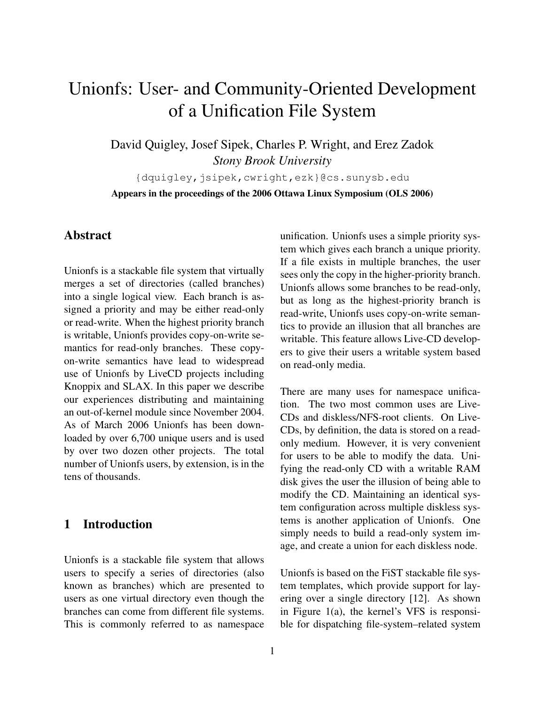# Unionfs: User- and Community-Oriented Development of a Unification File System

David Quigley, Josef Sipek, Charles P. Wright, and Erez Zadok *Stony Brook University*

{dquigley,jsipek,cwright,ezk}@cs.sunysb.edu Appears in the proceedings of the 2006 Ottawa Linux Symposium (OLS 2006)

# Abstract

Unionfs is a stackable file system that virtually merges a set of directories (called branches) into a single logical view. Each branch is assigned a priority and may be either read-only or read-write. When the highest priority branch is writable, Unionfs provides copy-on-write semantics for read-only branches. These copyon-write semantics have lead to widespread use of Unionfs by LiveCD projects including Knoppix and SLAX. In this paper we describe our experiences distributing and maintaining an out-of-kernel module since November 2004. As of March 2006 Unionfs has been downloaded by over 6,700 unique users and is used by over two dozen other projects. The total number of Unionfs users, by extension, is in the tens of thousands.

## 1 Introduction

Unionfs is a stackable file system that allows users to specify a series of directories (also known as branches) which are presented to users as one virtual directory even though the branches can come from different file systems. This is commonly referred to as namespace unification. Unionfs uses a simple priority system which gives each branch a unique priority. If a file exists in multiple branches, the user sees only the copy in the higher-priority branch. Unionfs allows some branches to be read-only, but as long as the highest-priority branch is read-write, Unionfs uses copy-on-write semantics to provide an illusion that all branches are writable. This feature allows Live-CD developers to give their users a writable system based on read-only media.

There are many uses for namespace unification. The two most common uses are Live-CDs and diskless/NFS-root clients. On Live-CDs, by definition, the data is stored on a readonly medium. However, it is very convenient for users to be able to modify the data. Unifying the read-only CD with a writable RAM disk gives the user the illusion of being able to modify the CD. Maintaining an identical system configuration across multiple diskless systems is another application of Unionfs. One simply needs to build a read-only system image, and create a union for each diskless node.

Unionfs is based on the FiST stackable file system templates, which provide support for layering over a single directory [12]. As shown in Figure 1(a), the kernel's VFS is responsible for dispatching file-system–related system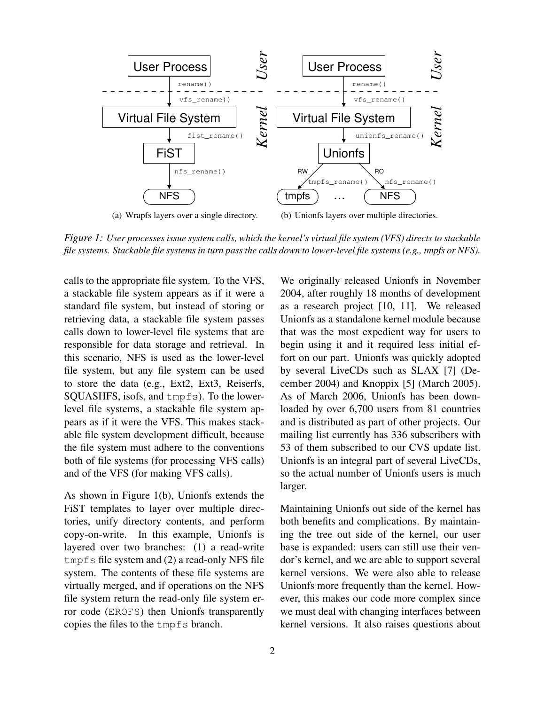

*Figure 1: User processes issue system calls, which the kernel's virtual file system (VFS) directs to stackable file systems. Stackable file systems in turn pass the calls down to lower-level file systems (e.g., tmpfs or NFS).*

calls to the appropriate file system. To the VFS, a stackable file system appears as if it were a standard file system, but instead of storing or retrieving data, a stackable file system passes calls down to lower-level file systems that are responsible for data storage and retrieval. In this scenario, NFS is used as the lower-level file system, but any file system can be used to store the data (e.g., Ext2, Ext3, Reiserfs, SQUASHFS, isofs, and tmpfs). To the lowerlevel file systems, a stackable file system appears as if it were the VFS. This makes stackable file system development difficult, because the file system must adhere to the conventions both of file systems (for processing VFS calls) and of the VFS (for making VFS calls).

As shown in Figure 1(b), Unionfs extends the FiST templates to layer over multiple directories, unify directory contents, and perform copy-on-write. In this example, Unionfs is layered over two branches: (1) a read-write tmpfs file system and (2) a read-only NFS file system. The contents of these file systems are virtually merged, and if operations on the NFS file system return the read-only file system error code (EROFS) then Unionfs transparently copies the files to the tmpfs branch.

We originally released Unionfs in November 2004, after roughly 18 months of development as a research project [10, 11]. We released Unionfs as a standalone kernel module because that was the most expedient way for users to begin using it and it required less initial effort on our part. Unionfs was quickly adopted by several LiveCDs such as SLAX [7] (December 2004) and Knoppix [5] (March 2005). As of March 2006, Unionfs has been downloaded by over 6,700 users from 81 countries and is distributed as part of other projects. Our mailing list currently has 336 subscribers with 53 of them subscribed to our CVS update list. Unionfs is an integral part of several LiveCDs, so the actual number of Unionfs users is much larger.

Maintaining Unionfs out side of the kernel has both benefits and complications. By maintaining the tree out side of the kernel, our user base is expanded: users can still use their vendor's kernel, and we are able to support several kernel versions. We were also able to release Unionfs more frequently than the kernel. However, this makes our code more complex since we must deal with changing interfaces between kernel versions. It also raises questions about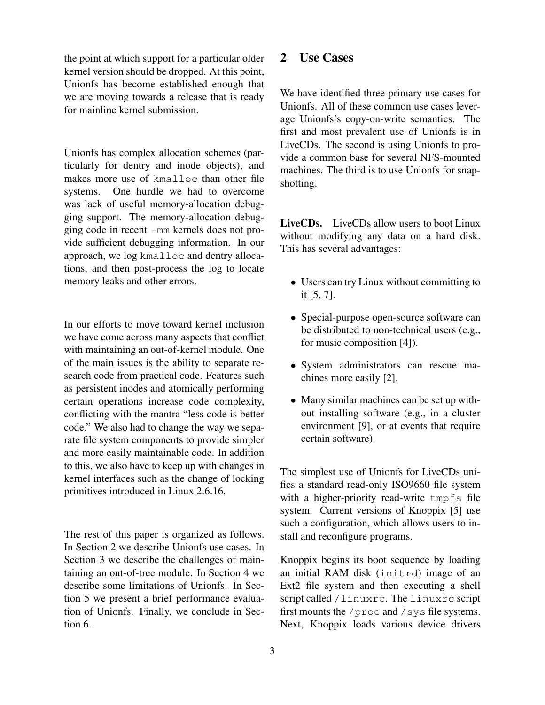the point at which support for a particular older kernel version should be dropped. At this point, Unionfs has become established enough that we are moving towards a release that is ready for mainline kernel submission.

Unionfs has complex allocation schemes (particularly for dentry and inode objects), and makes more use of kmalloc than other file systems. One hurdle we had to overcome was lack of useful memory-allocation debugging support. The memory-allocation debugging code in recent -mm kernels does not provide sufficient debugging information. In our approach, we log kmalloc and dentry allocations, and then post-process the log to locate memory leaks and other errors.

In our efforts to move toward kernel inclusion we have come across many aspects that conflict with maintaining an out-of-kernel module. One of the main issues is the ability to separate research code from practical code. Features such as persistent inodes and atomically performing certain operations increase code complexity, conflicting with the mantra "less code is better code." We also had to change the way we separate file system components to provide simpler and more easily maintainable code. In addition to this, we also have to keep up with changes in kernel interfaces such as the change of locking primitives introduced in Linux 2.6.16.

The rest of this paper is organized as follows. In Section 2 we describe Unionfs use cases. In Section 3 we describe the challenges of maintaining an out-of-tree module. In Section 4 we describe some limitations of Unionfs. In Section 5 we present a brief performance evaluation of Unionfs. Finally, we conclude in Section 6.

### 2 Use Cases

We have identified three primary use cases for Unionfs. All of these common use cases leverage Unionfs's copy-on-write semantics. The first and most prevalent use of Unionfs is in LiveCDs. The second is using Unionfs to provide a common base for several NFS-mounted machines. The third is to use Unionfs for snapshotting.

LiveCDs. LiveCDs allow users to boot Linux without modifying any data on a hard disk. This has several advantages:

- Users can try Linux without committing to it [5, 7].
- Special-purpose open-source software can be distributed to non-technical users (e.g., for music composition [4]).
- System administrators can rescue machines more easily [2].
- Many similar machines can be set up without installing software (e.g., in a cluster environment [9], or at events that require certain software).

The simplest use of Unionfs for LiveCDs unifies a standard read-only ISO9660 file system with a higher-priority read-write tmpfs file system. Current versions of Knoppix [5] use such a configuration, which allows users to install and reconfigure programs.

Knoppix begins its boot sequence by loading an initial RAM disk (initrd) image of an Ext2 file system and then executing a shell script called /linuxrc. The linuxrc script first mounts the /proc and /sys file systems. Next, Knoppix loads various device drivers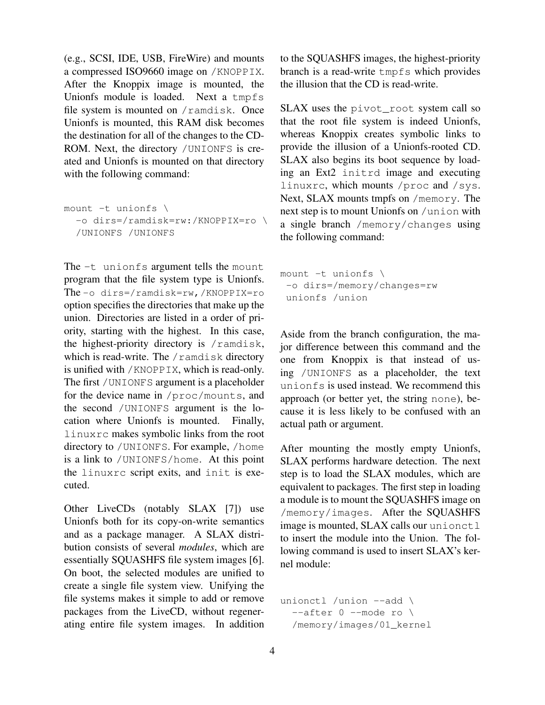(e.g., SCSI, IDE, USB, FireWire) and mounts a compressed ISO9660 image on /KNOPPIX. After the Knoppix image is mounted, the Unionfs module is loaded. Next a tmpfs file system is mounted on /ramdisk. Once Unionfs is mounted, this RAM disk becomes the destination for all of the changes to the CD-ROM. Next, the directory /UNIONFS is created and Unionfs is mounted on that directory with the following command:

```
mount -t unionfs \
  -o dirs=/ramdisk=rw:/KNOPPIX=ro \
  /UNIONFS /UNIONFS
```
The  $-t$  unionfs argument tells the mount program that the file system type is Unionfs. The -o dirs=/ramdisk=rw,/KNOPPIX=ro option specifies the directories that make up the union. Directories are listed in a order of priority, starting with the highest. In this case, the highest-priority directory is /ramdisk, which is read-write. The /ramdisk directory is unified with /KNOPPIX, which is read-only. The first /UNIONFS argument is a placeholder for the device name in /proc/mounts, and the second /UNIONFS argument is the location where Unionfs is mounted. Finally, linuxrc makes symbolic links from the root directory to /UNIONFS. For example, /home is a link to /UNIONFS/home. At this point the linuxrc script exits, and init is executed.

Other LiveCDs (notably SLAX [7]) use Unionfs both for its copy-on-write semantics and as a package manager. A SLAX distribution consists of several *modules*, which are essentially SQUASHFS file system images [6]. On boot, the selected modules are unified to create a single file system view. Unifying the file systems makes it simple to add or remove packages from the LiveCD, without regenerating entire file system images. In addition to the SQUASHFS images, the highest-priority branch is a read-write tmpfs which provides the illusion that the CD is read-write.

SLAX uses the pivot root system call so that the root file system is indeed Unionfs, whereas Knoppix creates symbolic links to provide the illusion of a Unionfs-rooted CD. SLAX also begins its boot sequence by loading an Ext2 initrd image and executing linuxrc, which mounts /proc and /sys. Next, SLAX mounts tmpfs on /memory. The next step is to mount Unionfs on /union with a single branch /memory/changes using the following command:

```
mount -t unionfs \
 -o dirs=/memory/changes=rw
 unionfs /union
```
Aside from the branch configuration, the major difference between this command and the one from Knoppix is that instead of using /UNIONFS as a placeholder, the text unionfs is used instead. We recommend this approach (or better yet, the string none), because it is less likely to be confused with an actual path or argument.

After mounting the mostly empty Unionfs, SLAX performs hardware detection. The next step is to load the SLAX modules, which are equivalent to packages. The first step in loading a module is to mount the SQUASHFS image on /memory/images. After the SQUASHFS image is mounted, SLAX calls our unionctl to insert the module into the Union. The following command is used to insert SLAX's kernel module:

```
unionctl /union --add \
  -after 0 --mode ro \
  /memory/images/01_kernel
```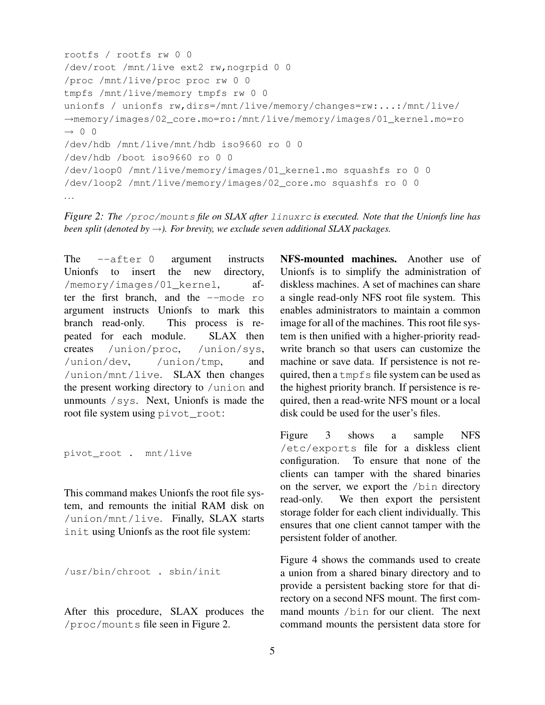```
rootfs / rootfs rw 0 0
/dev/root /mnt/live ext2 rw,nogrpid 0 0
/proc /mnt/live/proc proc rw 0 0
tmpfs /mnt/live/memory tmpfs rw 0 0
unionfs / unionfs rw,dirs=/mnt/live/memory/changes=rw:...:/mnt/live/
→memory/images/02_core.mo=ro:/mnt/live/memory/images/01_kernel.mo=ro
\rightarrow 0 0
/dev/hdb /mnt/live/mnt/hdb iso9660 ro 0 0
/dev/hdb /boot iso9660 ro 0 0
/dev/loop0 /mnt/live/memory/images/01_kernel.mo squashfs ro 0 0
/dev/loop2 /mnt/live/memory/images/02_core.mo squashfs ro 0 0
...
```
*Figure 2: The* /proc/mounts *file on SLAX after* linuxrc *is executed. Note that the Unionfs line has been split (denoted by*  $\rightarrow$ *). For brevity, we exclude seven additional SLAX packages.* 

The --after 0 argument instructs Unionfs to insert the new directory, /memory/images/01\_kernel, after the first branch, and the --mode ro argument instructs Unionfs to mark this branch read-only. This process is repeated for each module. SLAX then creates /union/proc, /union/sys, /union/dev, /union/tmp, and /union/mnt/live. SLAX then changes the present working directory to /union and unmounts /sys. Next, Unionfs is made the root file system using pivot root:

pivot\_root . mnt/live

This command makes Unionfs the root file system, and remounts the initial RAM disk on /union/mnt/live. Finally, SLAX starts init using Unionfs as the root file system:

/usr/bin/chroot . sbin/init

After this procedure, SLAX produces the /proc/mounts file seen in Figure 2.

NFS-mounted machines. Another use of Unionfs is to simplify the administration of diskless machines. A set of machines can share a single read-only NFS root file system. This enables administrators to maintain a common image for all of the machines. This root file system is then unified with a higher-priority readwrite branch so that users can customize the machine or save data. If persistence is not required, then a tmpfs file system can be used as the highest priority branch. If persistence is required, then a read-write NFS mount or a local disk could be used for the user's files.

Figure 3 shows a sample NFS /etc/exports file for a diskless client configuration. To ensure that none of the clients can tamper with the shared binaries on the server, we export the /bin directory read-only. We then export the persistent storage folder for each client individually. This ensures that one client cannot tamper with the persistent folder of another.

Figure 4 shows the commands used to create a union from a shared binary directory and to provide a persistent backing store for that directory on a second NFS mount. The first command mounts /bin for our client. The next command mounts the persistent data store for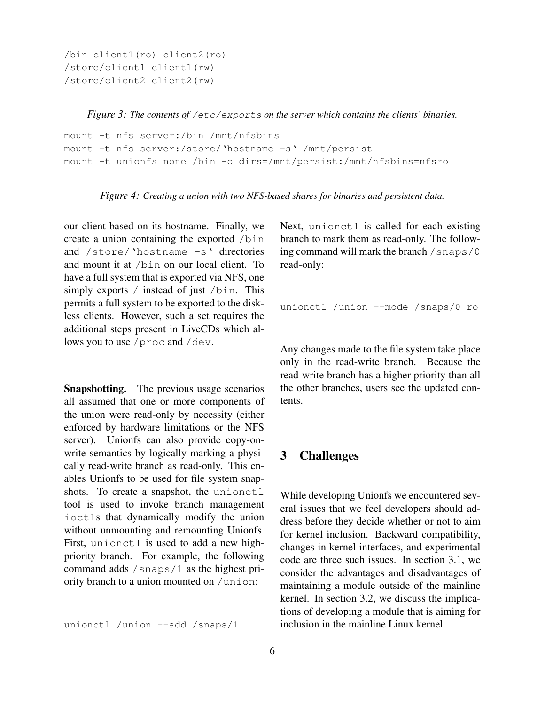```
/bin client1(ro) client2(ro)
/store/client1 client1(rw)
/store/client2 client2(rw)
```
*Figure 3: The contents of* /etc/exports *on the server which contains the clients' binaries.*

```
mount -t nfs server:/bin /mnt/nfsbins
mount -t nfs server:/store/'hostname -s' /mnt/persist
mount -t unionfs none /bin -o dirs=/mnt/persist:/mnt/nfsbins=nfsro
```
*Figure 4: Creating a union with two NFS-based shares for binaries and persistent data.*

our client based on its hostname. Finally, we create a union containing the exported /bin and /store/'hostname -s' directories and mount it at /bin on our local client. To have a full system that is exported via NFS, one simply exports / instead of just /bin. This permits a full system to be exported to the diskless clients. However, such a set requires the additional steps present in LiveCDs which allows you to use /proc and /dev.

Snapshotting. The previous usage scenarios all assumed that one or more components of the union were read-only by necessity (either enforced by hardware limitations or the NFS server). Unionfs can also provide copy-onwrite semantics by logically marking a physically read-write branch as read-only. This enables Unionfs to be used for file system snapshots. To create a snapshot, the unionctl tool is used to invoke branch management ioctls that dynamically modify the union without unmounting and remounting Unionfs. First, unionctl is used to add a new highpriority branch. For example, the following command adds /snaps/1 as the highest priority branch to a union mounted on /union:

unionctl /union --add /snaps/1

Next, unionctl is called for each existing branch to mark them as read-only. The following command will mark the branch  $/$  snaps $/0$ read-only:

```
unionctl /union --mode /snaps/0 ro
```
Any changes made to the file system take place only in the read-write branch. Because the read-write branch has a higher priority than all the other branches, users see the updated contents.

#### 3 Challenges

While developing Unionfs we encountered several issues that we feel developers should address before they decide whether or not to aim for kernel inclusion. Backward compatibility, changes in kernel interfaces, and experimental code are three such issues. In section 3.1, we consider the advantages and disadvantages of maintaining a module outside of the mainline kernel. In section 3.2, we discuss the implications of developing a module that is aiming for inclusion in the mainline Linux kernel.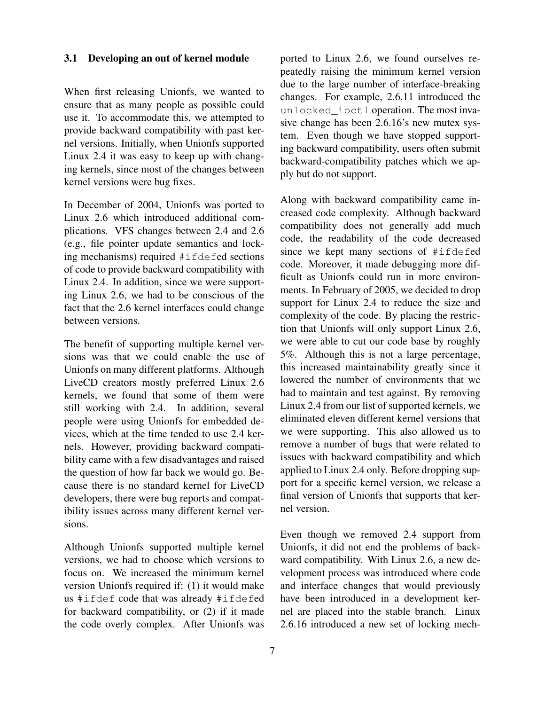#### 3.1 Developing an out of kernel module

When first releasing Unionfs, we wanted to ensure that as many people as possible could use it. To accommodate this, we attempted to provide backward compatibility with past kernel versions. Initially, when Unionfs supported Linux 2.4 it was easy to keep up with changing kernels, since most of the changes between kernel versions were bug fixes.

In December of 2004, Unionfs was ported to Linux 2.6 which introduced additional complications. VFS changes between 2.4 and 2.6 (e.g., file pointer update semantics and locking mechanisms) required #ifdefed sections of code to provide backward compatibility with Linux 2.4. In addition, since we were supporting Linux 2.6, we had to be conscious of the fact that the 2.6 kernel interfaces could change between versions.

The benefit of supporting multiple kernel versions was that we could enable the use of Unionfs on many different platforms. Although LiveCD creators mostly preferred Linux 2.6 kernels, we found that some of them were still working with 2.4. In addition, several people were using Unionfs for embedded devices, which at the time tended to use 2.4 kernels. However, providing backward compatibility came with a few disadvantages and raised the question of how far back we would go. Because there is no standard kernel for LiveCD developers, there were bug reports and compatibility issues across many different kernel versions.

Although Unionfs supported multiple kernel versions, we had to choose which versions to focus on. We increased the minimum kernel version Unionfs required if: (1) it would make us #ifdef code that was already #ifdefed for backward compatibility, or (2) if it made the code overly complex. After Unionfs was

ported to Linux 2.6, we found ourselves repeatedly raising the minimum kernel version due to the large number of interface-breaking changes. For example, 2.6.11 introduced the unlocked\_ioctl operation. The most invasive change has been 2.6.16's new mutex system. Even though we have stopped supporting backward compatibility, users often submit backward-compatibility patches which we apply but do not support.

Along with backward compatibility came increased code complexity. Although backward compatibility does not generally add much code, the readability of the code decreased since we kept many sections of #ifdefed code. Moreover, it made debugging more difficult as Unionfs could run in more environments. In February of 2005, we decided to drop support for Linux 2.4 to reduce the size and complexity of the code. By placing the restriction that Unionfs will only support Linux 2.6, we were able to cut our code base by roughly 5%. Although this is not a large percentage, this increased maintainability greatly since it lowered the number of environments that we had to maintain and test against. By removing Linux 2.4 from our list of supported kernels, we eliminated eleven different kernel versions that we were supporting. This also allowed us to remove a number of bugs that were related to issues with backward compatibility and which applied to Linux 2.4 only. Before dropping support for a specific kernel version, we release a final version of Unionfs that supports that kernel version.

Even though we removed 2.4 support from Unionfs, it did not end the problems of backward compatibility. With Linux 2.6, a new development process was introduced where code and interface changes that would previously have been introduced in a development kernel are placed into the stable branch. Linux 2.6.16 introduced a new set of locking mech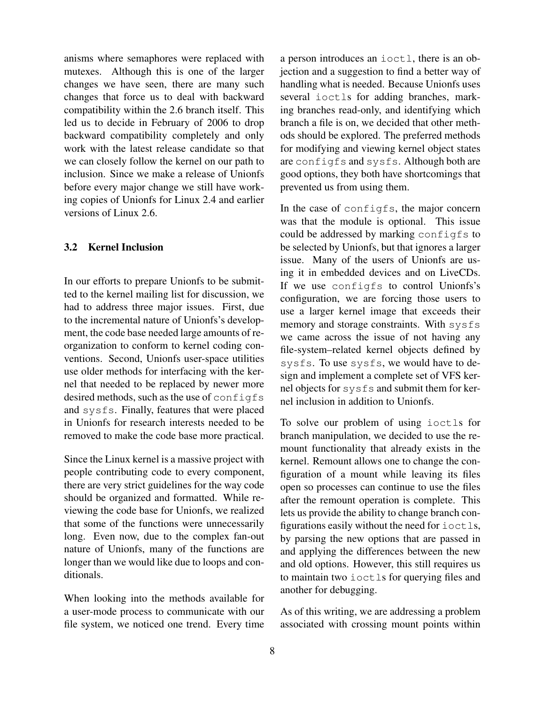anisms where semaphores were replaced with mutexes. Although this is one of the larger changes we have seen, there are many such changes that force us to deal with backward compatibility within the 2.6 branch itself. This led us to decide in February of 2006 to drop backward compatibility completely and only work with the latest release candidate so that we can closely follow the kernel on our path to inclusion. Since we make a release of Unionfs before every major change we still have working copies of Unionfs for Linux 2.4 and earlier versions of Linux 2.6.

#### 3.2 Kernel Inclusion

In our efforts to prepare Unionfs to be submitted to the kernel mailing list for discussion, we had to address three major issues. First, due to the incremental nature of Unionfs's development, the code base needed large amounts of reorganization to conform to kernel coding conventions. Second, Unionfs user-space utilities use older methods for interfacing with the kernel that needed to be replaced by newer more desired methods, such as the use of configfs and sysfs. Finally, features that were placed in Unionfs for research interests needed to be removed to make the code base more practical.

Since the Linux kernel is a massive project with people contributing code to every component, there are very strict guidelines for the way code should be organized and formatted. While reviewing the code base for Unionfs, we realized that some of the functions were unnecessarily long. Even now, due to the complex fan-out nature of Unionfs, many of the functions are longer than we would like due to loops and conditionals.

When looking into the methods available for a user-mode process to communicate with our file system, we noticed one trend. Every time

a person introduces an ioctl, there is an objection and a suggestion to find a better way of handling what is needed. Because Unionfs uses several ioctls for adding branches, marking branches read-only, and identifying which branch a file is on, we decided that other methods should be explored. The preferred methods for modifying and viewing kernel object states are configfs and sysfs. Although both are good options, they both have shortcomings that prevented us from using them.

In the case of configfs, the major concern was that the module is optional. This issue could be addressed by marking configfs to be selected by Unionfs, but that ignores a larger issue. Many of the users of Unionfs are using it in embedded devices and on LiveCDs. If we use configfs to control Unionfs's configuration, we are forcing those users to use a larger kernel image that exceeds their memory and storage constraints. With sysfs we came across the issue of not having any file-system–related kernel objects defined by sysfs. To use sysfs, we would have to design and implement a complete set of VFS kernel objects for sysfs and submit them for kernel inclusion in addition to Unionfs.

To solve our problem of using ioctls for branch manipulation, we decided to use the remount functionality that already exists in the kernel. Remount allows one to change the configuration of a mount while leaving its files open so processes can continue to use the files after the remount operation is complete. This lets us provide the ability to change branch configurations easily without the need for  $i$ octls, by parsing the new options that are passed in and applying the differences between the new and old options. However, this still requires us to maintain two ioctls for querying files and another for debugging.

As of this writing, we are addressing a problem associated with crossing mount points within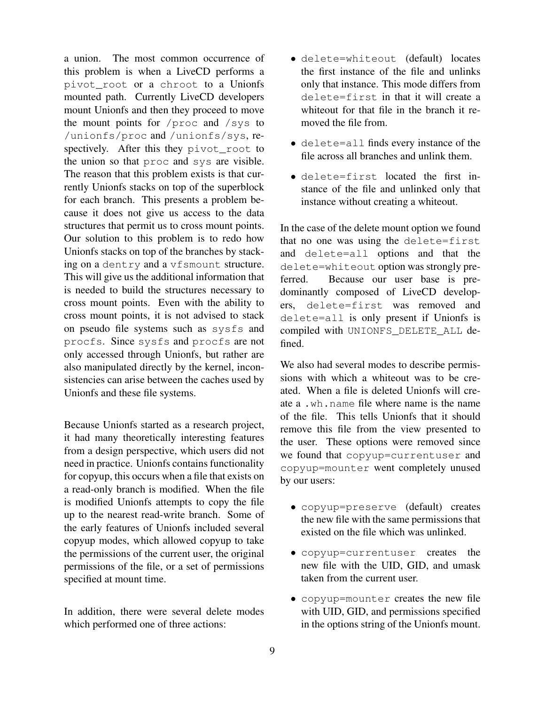a union. The most common occurrence of this problem is when a LiveCD performs a pivot\_root or a chroot to a Unionfs mounted path. Currently LiveCD developers mount Unionfs and then they proceed to move the mount points for /proc and /sys to /unionfs/proc and /unionfs/sys, respectively. After this they pivot\_root to the union so that proc and sys are visible. The reason that this problem exists is that currently Unionfs stacks on top of the superblock for each branch. This presents a problem because it does not give us access to the data structures that permit us to cross mount points. Our solution to this problem is to redo how Unionfs stacks on top of the branches by stacking on a dentry and a vfsmount structure. This will give us the additional information that is needed to build the structures necessary to cross mount points. Even with the ability to cross mount points, it is not advised to stack on pseudo file systems such as sysfs and procfs. Since sysfs and procfs are not only accessed through Unionfs, but rather are also manipulated directly by the kernel, inconsistencies can arise between the caches used by Unionfs and these file systems.

Because Unionfs started as a research project, it had many theoretically interesting features from a design perspective, which users did not need in practice. Unionfs contains functionality for copyup, this occurs when a file that exists on a read-only branch is modified. When the file is modified Unionfs attempts to copy the file up to the nearest read-write branch. Some of the early features of Unionfs included several copyup modes, which allowed copyup to take the permissions of the current user, the original permissions of the file, or a set of permissions specified at mount time.

In addition, there were several delete modes which performed one of three actions:

- delete=whiteout (default) locates the first instance of the file and unlinks only that instance. This mode differs from delete=first in that it will create a whiteout for that file in the branch it removed the file from.
- delete=all finds every instance of the file across all branches and unlink them.
- delete=first located the first instance of the file and unlinked only that instance without creating a whiteout.

In the case of the delete mount option we found that no one was using the delete=first and delete=all options and that the delete=whiteout option was strongly preferred. Because our user base is predominantly composed of LiveCD developers, delete=first was removed and delete=all is only present if Unionfs is compiled with UNIONFS\_DELETE\_ALL defined.

We also had several modes to describe permissions with which a whiteout was to be created. When a file is deleted Unionfs will create a .wh.name file where name is the name of the file. This tells Unionfs that it should remove this file from the view presented to the user. These options were removed since we found that copyup=currentuser and copyup=mounter went completely unused by our users:

- copyup=preserve (default) creates the new file with the same permissions that existed on the file which was unlinked.
- copyup=currentuser creates the new file with the UID, GID, and umask taken from the current user.
- copyup=mounter creates the new file with UID, GID, and permissions specified in the options string of the Unionfs mount.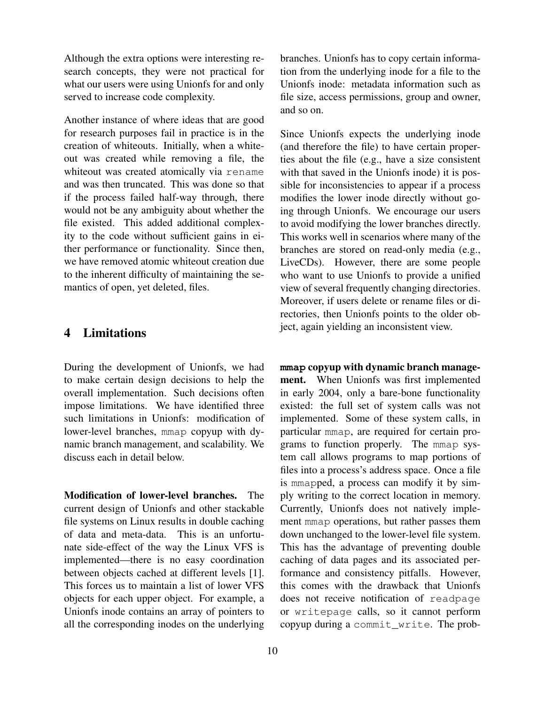Although the extra options were interesting research concepts, they were not practical for what our users were using Unionfs for and only served to increase code complexity.

Another instance of where ideas that are good for research purposes fail in practice is in the creation of whiteouts. Initially, when a whiteout was created while removing a file, the whiteout was created atomically via rename and was then truncated. This was done so that if the process failed half-way through, there would not be any ambiguity about whether the file existed. This added additional complexity to the code without sufficient gains in either performance or functionality. Since then, we have removed atomic whiteout creation due to the inherent difficulty of maintaining the semantics of open, yet deleted, files.

## 4 Limitations

During the development of Unionfs, we had to make certain design decisions to help the overall implementation. Such decisions often impose limitations. We have identified three such limitations in Unionfs: modification of lower-level branches, mmap copyup with dynamic branch management, and scalability. We discuss each in detail below.

Modification of lower-level branches. The current design of Unionfs and other stackable file systems on Linux results in double caching of data and meta-data. This is an unfortunate side-effect of the way the Linux VFS is implemented—there is no easy coordination between objects cached at different levels [1]. This forces us to maintain a list of lower VFS objects for each upper object. For example, a Unionfs inode contains an array of pointers to all the corresponding inodes on the underlying branches. Unionfs has to copy certain information from the underlying inode for a file to the Unionfs inode: metadata information such as file size, access permissions, group and owner, and so on.

Since Unionfs expects the underlying inode (and therefore the file) to have certain properties about the file (e.g., have a size consistent with that saved in the Unionfs inode) it is possible for inconsistencies to appear if a process modifies the lower inode directly without going through Unionfs. We encourage our users to avoid modifying the lower branches directly. This works well in scenarios where many of the branches are stored on read-only media (e.g., LiveCDs). However, there are some people who want to use Unionfs to provide a unified view of several frequently changing directories. Moreover, if users delete or rename files or directories, then Unionfs points to the older object, again yielding an inconsistent view.

**mmap** copyup with dynamic branch management. When Unionfs was first implemented in early 2004, only a bare-bone functionality existed: the full set of system calls was not implemented. Some of these system calls, in particular mmap, are required for certain programs to function properly. The mmap system call allows programs to map portions of files into a process's address space. Once a file is mmapped, a process can modify it by simply writing to the correct location in memory. Currently, Unionfs does not natively implement mmap operations, but rather passes them down unchanged to the lower-level file system. This has the advantage of preventing double caching of data pages and its associated performance and consistency pitfalls. However, this comes with the drawback that Unionfs does not receive notification of readpage or writepage calls, so it cannot perform copyup during a commit\_write. The prob-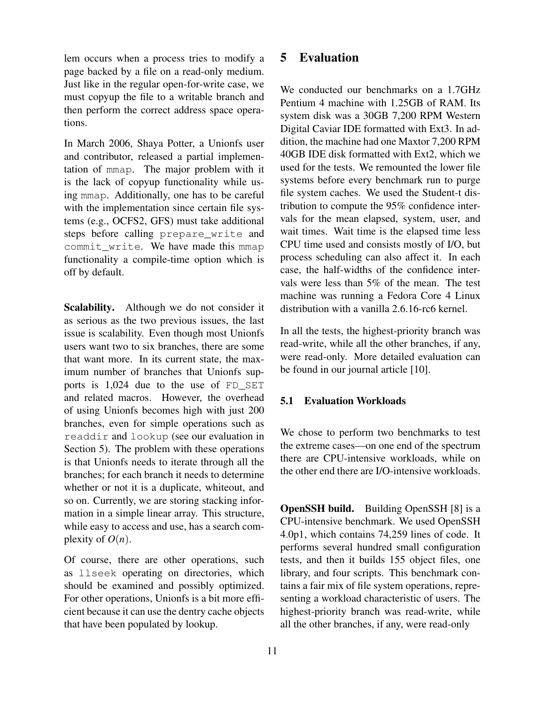lem occurs when a process tries to modify a page backed by a file on a read-only medium. Just like in the regular open-for-write case, we must copyup the file to a writable branch and then perform the correct address space operations.

In March 2006, Shaya Potter, a Unionfs user and contributor, released a partial implementation of mmap. The major problem with it is the lack of copyup functionality while using mmap. Additionally, one has to be careful with the implementation since certain file systems (e.g., OCFS2, GFS) must take additional steps before calling prepare\_write and commit write. We have made this mmap functionality a compile-time option which is off by default.

Scalability. Although we do not consider it as serious as the two previous issues, the last issue is scalability. Even though most Unionfs users want two to six branches, there are some that want more. In its current state, the maximum number of branches that Unionfs supports is 1,024 due to the use of FD\_SET and related macros. However, the overhead of using Unionfs becomes high with just 200 branches, even for simple operations such as readdir and lookup (see our evaluation in Section 5). The problem with these operations is that Unionfs needs to iterate through all the branches; for each branch it needs to determine whether or not it is a duplicate, whiteout, and so on. Currently, we are storing stacking information in a simple linear array. This structure, while easy to access and use, has a search complexity of  $O(n)$ .

Of course, there are other operations, such as llseek operating on directories, which should be examined and possibly optimized. For other operations, Unionfs is a bit more efficient because it can use the dentry cache objects that have been populated by lookup.

## 5 Evaluation

We conducted our benchmarks on a 1.7GHz Pentium 4 machine with 1.25GB of RAM. Its system disk was a 30GB 7,200 RPM Western Digital Caviar IDE formatted with Ext3. In addition, the machine had one Maxtor 7,200 RPM 40GB IDE disk formatted with Ext2, which we used for the tests. We remounted the lower file systems before every benchmark run to purge file system caches. We used the Student-t distribution to compute the 95% confidence intervals for the mean elapsed, system, user, and wait times. Wait time is the elapsed time less CPU time used and consists mostly of I/O, but process scheduling can also affect it. In each case, the half-widths of the confidence intervals were less than 5% of the mean. The test machine was running a Fedora Core 4 Linux distribution with a vanilla 2.6.16-rc6 kernel.

In all the tests, the highest-priority branch was read-write, while all the other branches, if any, were read-only. More detailed evaluation can be found in our journal article [10].

#### 5.1 Evaluation Workloads

We chose to perform two benchmarks to test the extreme cases—on one end of the spectrum there are CPU-intensive workloads, while on the other end there are I/O-intensive workloads.

OpenSSH build. Building OpenSSH [8] is a CPU-intensive benchmark. We used OpenSSH 4.0p1, which contains 74,259 lines of code. It performs several hundred small configuration tests, and then it builds 155 object files, one library, and four scripts. This benchmark contains a fair mix of file system operations, representing a workload characteristic of users. The highest-priority branch was read-write, while all the other branches, if any, were read-only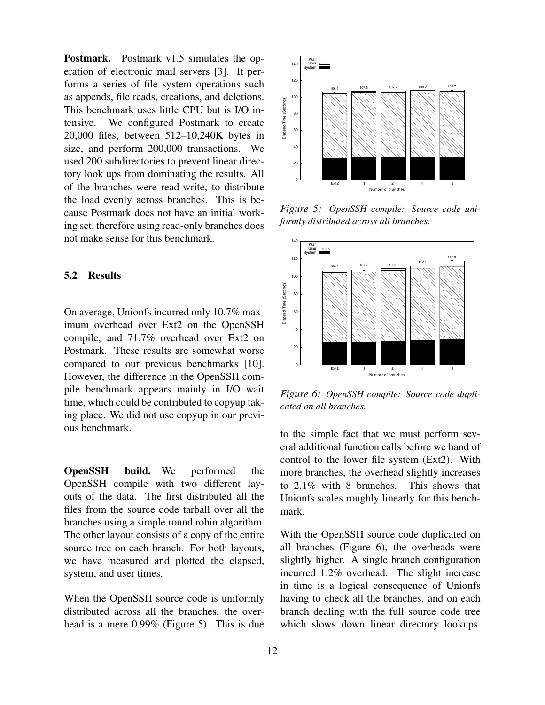Postmark. Postmark v1.5 simulates the operation of electronic mail servers [3]. It performs a series of file system operations such as appends, file reads, creations, and deletions. This benchmark uses little CPU but is I/O intensive. We configured Postmark to create 20,000 files, between 512–10,240K bytes in size, and perform 200,000 transactions. We used 200 subdirectories to prevent linear directory look ups from dominating the results. All of the branches were read-write, to distribute the load evenly across branches. This is because Postmark does not have an initial working set, therefore using read-only branches does not make sense for this benchmark.

#### 5.2 Results

On average, Unionfs incurred only 10.7% maximum overhead over Ext2 on the OpenSSH compile, and 71.7% overhead over Ext2 on Postmark. These results are somewhat worse compared to our previous benchmarks [10]. However, the difference in the OpenSSH compile benchmark appears mainly in I/O wait time, which could be contributed to copyup taking place. We did not use copyup in our previous benchmark.

OpenSSH build. We performed the OpenSSH compile with two different layouts of the data. The first distributed all the files from the source code tarball over all the branches using a simple round robin algorithm. The other layout consists of a copy of the entire source tree on each branch. For both layouts, we have measured and plotted the elapsed, system, and user times.

When the OpenSSH source code is uniformly distributed across all the branches, the overhead is a mere 0.99% (Figure 5). This is due



*Figure 5: OpenSSH compile: Source code uniformly distributed across all branches.*



*Figure 6: OpenSSH compile: Source code duplicated on all branches.*

to the simple fact that we must perform several additional function calls before we hand of control to the lower file system (Ext2). With more branches, the overhead slightly increases to 2.1% with 8 branches. This shows that Unionfs scales roughly linearly for this benchmark.

With the OpenSSH source code duplicated on all branches (Figure 6), the overheads were slightly higher. A single branch configuration incurred 1.2% overhead. The slight increase in time is a logical consequence of Unionfs having to check all the branches, and on each branch dealing with the full source code tree which slows down linear directory lookups.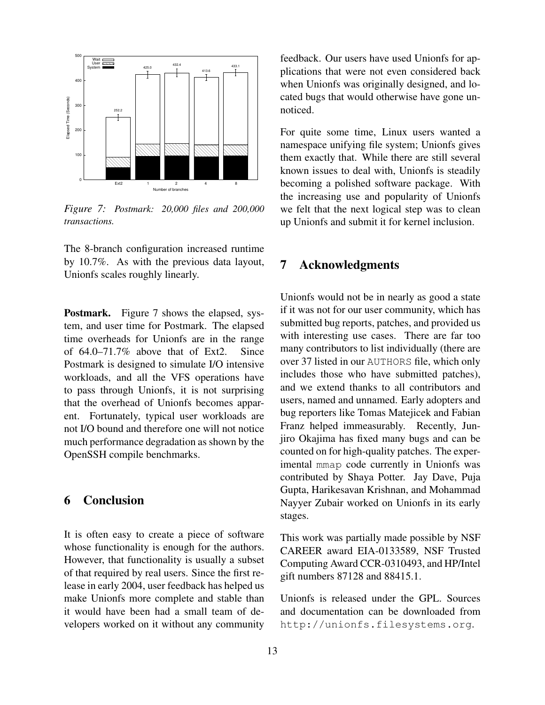

*Figure 7: Postmark: 20,000 files and 200,000 transactions.*

The 8-branch configuration increased runtime by 10.7%. As with the previous data layout, Unionfs scales roughly linearly.

Postmark. Figure 7 shows the elapsed, system, and user time for Postmark. The elapsed time overheads for Unionfs are in the range of 64.0–71.7% above that of Ext2. Since Postmark is designed to simulate I/O intensive workloads, and all the VFS operations have to pass through Unionfs, it is not surprising that the overhead of Unionfs becomes apparent. Fortunately, typical user workloads are not I/O bound and therefore one will not notice much performance degradation as shown by the OpenSSH compile benchmarks.

# 6 Conclusion

It is often easy to create a piece of software whose functionality is enough for the authors. However, that functionality is usually a subset of that required by real users. Since the first release in early 2004, user feedback has helped us make Unionfs more complete and stable than it would have been had a small team of developers worked on it without any community feedback. Our users have used Unionfs for applications that were not even considered back when Unionfs was originally designed, and located bugs that would otherwise have gone unnoticed.

For quite some time, Linux users wanted a namespace unifying file system; Unionfs gives them exactly that. While there are still several known issues to deal with, Unionfs is steadily becoming a polished software package. With the increasing use and popularity of Unionfs we felt that the next logical step was to clean up Unionfs and submit it for kernel inclusion.

## 7 Acknowledgments

Unionfs would not be in nearly as good a state if it was not for our user community, which has submitted bug reports, patches, and provided us with interesting use cases. There are far too many contributors to list individually (there are over 37 listed in our AUTHORS file, which only includes those who have submitted patches), and we extend thanks to all contributors and users, named and unnamed. Early adopters and bug reporters like Tomas Matejicek and Fabian Franz helped immeasurably. Recently, Junjiro Okajima has fixed many bugs and can be counted on for high-quality patches. The experimental mmap code currently in Unionfs was contributed by Shaya Potter. Jay Dave, Puja Gupta, Harikesavan Krishnan, and Mohammad Nayyer Zubair worked on Unionfs in its early stages.

This work was partially made possible by NSF CAREER award EIA-0133589, NSF Trusted Computing Award CCR-0310493, and HP/Intel gift numbers 87128 and 88415.1.

Unionfs is released under the GPL. Sources and documentation can be downloaded from http://unionfs.filesystems.org.